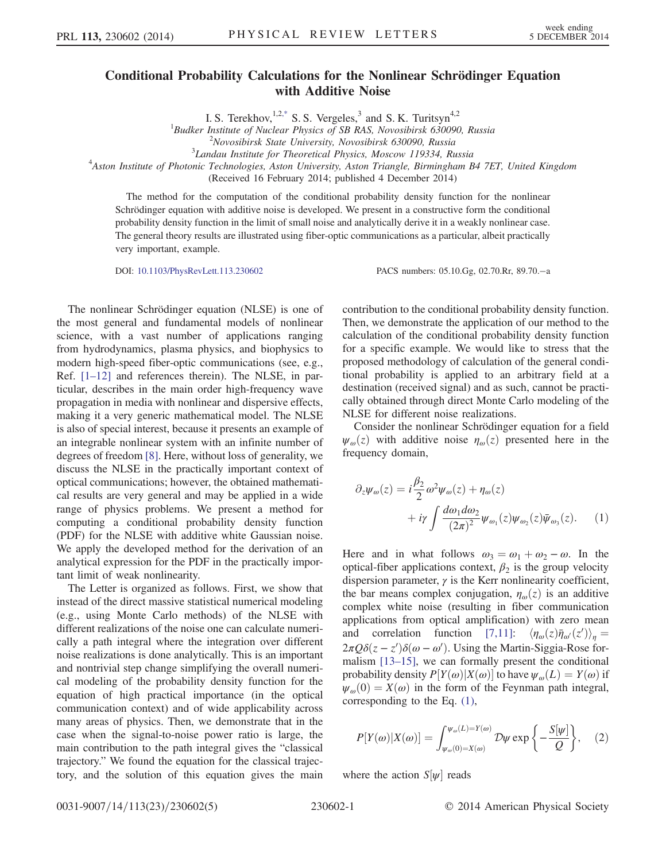## <span id="page-0-2"></span>Conditional Probability Calculations for the Nonlinear Schrödinger Equation with Additive Noise

I. S. Terekhov,  $1,2,3$  S. S. Vergeles, 3 and S. K. Turitsyn<sup>4,2</sup>

<sup>1</sup>Budker Institute of Nuclear Physics of SB RAS, Novosibirsk 630090, Russia

 $N$ ovosibirsk State University, Novosibirsk 630090, Russia

 $3$ Landau Institute for Theoretical Physics, Moscow 119334, Russia

Aston Institute of Photonic Technologies, Aston University, Aston Triangle, Birmingham B4 7ET, United Kingdom

(Received 16 February 2014; published 4 December 2014)

The method for the computation of the conditional probability density function for the nonlinear Schrödinger equation with additive noise is developed. We present in a constructive form the conditional probability density function in the limit of small noise and analytically derive it in a weakly nonlinear case. The general theory results are illustrated using fiber-optic communications as a particular, albeit practically very important, example.

DOI: [10.1103/PhysRevLett.113.230602](http://dx.doi.org/10.1103/PhysRevLett.113.230602) PACS numbers: 05.10.Gg, 02.70.Rr, 89.70.−a

The nonlinear Schrödinger equation (NLSE) is one of the most general and fundamental models of nonlinear science, with a vast number of applications ranging from hydrodynamics, plasma physics, and biophysics to modern high-speed fiber-optic communications (see, e.g., Ref. [1–[12\]](#page-4-1) and references therein). The NLSE, in particular, describes in the main order high-frequency wave propagation in media with nonlinear and dispersive effects, making it a very generic mathematical model. The NLSE is also of special interest, because it presents an example of an integrable nonlinear system with an infinite number of degrees of freedom [\[8\].](#page-4-2) Here, without loss of generality, we discuss the NLSE in the practically important context of optical communications; however, the obtained mathematical results are very general and may be applied in a wide range of physics problems. We present a method for computing a conditional probability density function (PDF) for the NLSE with additive white Gaussian noise. We apply the developed method for the derivation of an analytical expression for the PDF in the practically important limit of weak nonlinearity.

The Letter is organized as follows. First, we show that instead of the direct massive statistical numerical modeling (e.g., using Monte Carlo methods) of the NLSE with different realizations of the noise one can calculate numerically a path integral where the integration over different noise realizations is done analytically. This is an important and nontrivial step change simplifying the overall numerical modeling of the probability density function for the equation of high practical importance (in the optical communication context) and of wide applicability across many areas of physics. Then, we demonstrate that in the case when the signal-to-noise power ratio is large, the main contribution to the path integral gives the "classical trajectory." We found the equation for the classical trajectory, and the solution of this equation gives the main contribution to the conditional probability density function. Then, we demonstrate the application of our method to the calculation of the conditional probability density function for a specific example. We would like to stress that the proposed methodology of calculation of the general conditional probability is applied to an arbitrary field at a destination (received signal) and as such, cannot be practically obtained through direct Monte Carlo modeling of the NLSE for different noise realizations.

<span id="page-0-0"></span>Consider the nonlinear Schrödinger equation for a field  $\psi_{\omega}(z)$  with additive noise  $\eta_{\omega}(z)$  presented here in the frequency domain,

$$
\partial_z \psi_{\omega}(z) = i \frac{\beta_2}{2} \omega^2 \psi_{\omega}(z) + \eta_{\omega}(z) \n+ i\gamma \int \frac{d\omega_1 d\omega_2}{(2\pi)^2} \psi_{\omega_1}(z) \psi_{\omega_2}(z) \bar{\psi}_{\omega_3}(z).
$$
 (1)

Here and in what follows  $\omega_3 = \omega_1 + \omega_2 - \omega$ . In the optical-fiber applications context,  $\beta_2$  is the group velocity dispersion parameter,  $\gamma$  is the Kerr nonlinearity coefficient, the bar means complex conjugation,  $\eta_{\omega}(z)$  is an additive complex white noise (resulting in fiber communication applications from optical amplification) with zero mean and correlation function [\[7,11\]](#page-4-3):  $\langle \eta_{\omega}(z) \bar{\eta}_{\omega'}(z') \rangle_{\eta} =$ <br>2708(7, 5<sup>t</sup>)8(8) Using the Mertin Siggie Bose for  $2\pi Q\delta(z-z')\delta(\omega-\omega')$ . Using the Martin-Siggia-Rose for-<br>malism [13–15], we can formally present the conditional malism [\[13](#page-4-4)–15], we can formally present the conditional probability density  $P[Y(\omega)|X(\omega)]$  to have  $\psi_{\omega}(L) = Y(\omega)$  if  $\psi_{\omega}(0) = X(\omega)$  in the form of the Feynman path integral  $\psi_{\omega}(0) = X(\omega)$  in the form of the Feynman path integral, corresponding to the Eq. [\(1\)](#page-0-0),

<span id="page-0-1"></span>
$$
P[Y(\omega)|X(\omega)] = \int_{\psi_{\omega}(0)=X(\omega)}^{\psi_{\omega}(L)=Y(\omega)} \mathcal{D}\psi \exp\left\{-\frac{S[\psi]}{Q}\right\}, \quad (2)
$$

where the action  $S[\psi]$  reads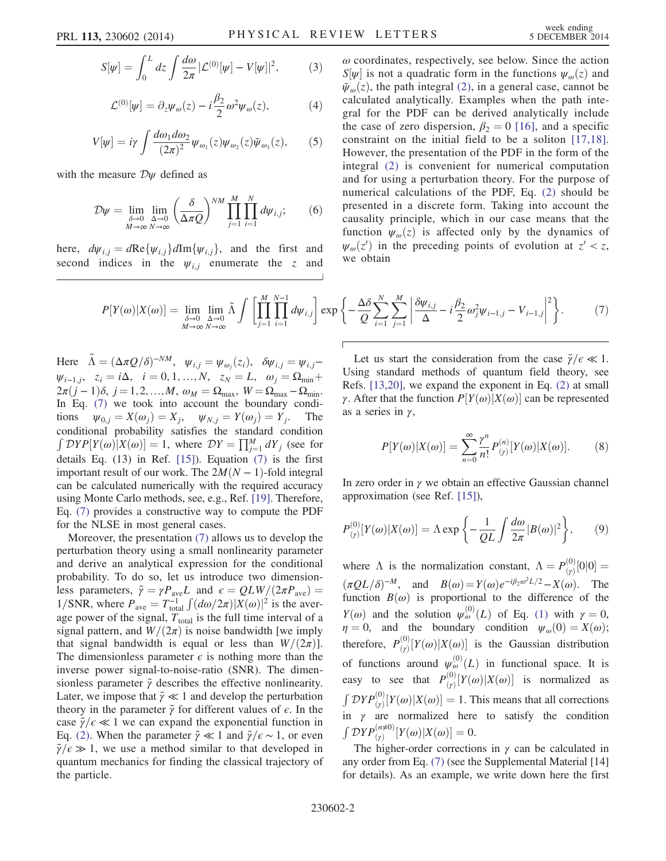$$
S[\psi] = \int_0^L dz \int \frac{d\omega}{2\pi} |\mathcal{L}^{(0)}[\psi] - V[\psi]|^2, \tag{3}
$$

$$
\mathcal{L}^{(0)}[\psi] = \partial_z \psi_{\omega}(z) - i \frac{\beta_2}{2} \omega^2 \psi_{\omega}(z), \tag{4}
$$

$$
V[\psi] = i\gamma \int \frac{d\omega_1 d\omega_2}{(2\pi)^2} \psi_{\omega_1}(z) \psi_{\omega_2}(z) \bar{\psi}_{\omega_3}(z), \qquad (5)
$$

with the measure  $\mathcal{D}\psi$  defined as

$$
\mathcal{D}\psi = \lim_{\substack{\delta \to 0 \\ M \to \infty}} \lim_{\substack{\Delta \to 0 \\ N \to \infty}} \left(\frac{\delta}{\Delta \pi Q}\right)^{NM} \prod_{j=1}^{M} \prod_{i=1}^{N} d\psi_{i,j};\qquad(6)
$$

<span id="page-1-0"></span>here,  $d\psi_{i,j} = d\text{Re}\{\psi_{i,j}\}d\text{Im}\{\psi_{i,j}\}\$ , and the first and second indices in the  $\psi_{i,j}$  enumerate the z and  $\omega$  coordinates, respectively, see below. Since the action  $S[\psi]$  is not a quadratic form in the functions  $\psi_{\omega}(z)$  and  $\bar{\psi}_{\omega}(z)$  the path integral (2) in a general case, cannot be  $\bar{\psi}_{\omega}(z)$ , the path integral [\(2\)](#page-0-1), in a general case, cannot be calculated analytically. Examples when the path integral for the PDF can be derived analytically include the case of zero dispersion,  $\beta_2 = 0$  [\[16\],](#page-4-5) and a specific constraint on the initial field to be a soliton [\[17,18\]](#page-4-6). However, the presentation of the PDF in the form of the integral [\(2\)](#page-0-1) is convenient for numerical computation and for using a perturbation theory. For the purpose of numerical calculations of the PDF, Eq. [\(2\)](#page-0-1) should be presented in a discrete form. Taking into account the causality principle, which in our case means that the function  $\psi_{\omega}(z)$  is affected only by the dynamics of  $\psi_{\omega}(z')$  in the preceding points of evolution at  $z' < z$ , we obtain we obtain

$$
P[Y(\omega)|X(\omega)] = \lim_{\substack{\delta \to 0 \\ M \to \infty}} \lim_{N \to \infty} \tilde{\Lambda} \int \left[ \prod_{j=1}^{M} \prod_{i=1}^{N-1} d\psi_{i,j} \right] \exp \left\{ -\frac{\Delta \delta}{Q} \sum_{i=1}^{N} \sum_{j=1}^{M} \left| \frac{\delta \psi_{i,j}}{\Delta} - i \frac{\beta_2}{2} \omega_j^2 \psi_{i-1,j} - V_{i-1,j} \right|^2 \right\}.
$$
 (7)

Here  $\tilde{\Lambda} = (\Delta \pi Q/\delta)^{-NM}$ ,  $\psi_{i,j} = \psi_{\omega_j}(z_i)$ ,  $\delta \psi_{i,j} = \psi_{i,j} - \frac{\Delta \tilde{\mu}}{N}$  $\psi_{i-1,i}, z_i = i\Delta, i = 0, 1, ..., N, z_N = L, \omega_i = \Omega_{\min} +$  $2\pi(j-1)\delta$ ,  $j=1,2,...,M$ ,  $\omega_M = \Omega_{\text{max}}$ ,  $W = \Omega_{\text{max}} - \Omega_{\text{min}}$ . In Eq. [\(7\)](#page-1-0) we took into account the boundary conditions  $\psi_{0,j} = X(\omega_j) = X_j$ ,  $\psi_{N,j} = Y(\omega_j) = Y_j$ . The conditional probability satisfies the standard condition  $\int \mathcal{D}YP[Y(\omega)|X(\omega)] = 1$ , where  $\mathcal{D}Y = \prod_{j=1}^{M} dY_j$  (see for details Eq.  $(13)$  in Ref.  $[15]$ ). Equation  $(7)$  is the first important result of our work. The  $2M(N - 1)$ -fold integral can be calculated numerically with the required accuracy using Monte Carlo methods, see, e.g., Ref. [\[19\].](#page-4-8) Therefore, Eq. [\(7\)](#page-1-0) provides a constructive way to compute the PDF for the NLSE in most general cases.

Moreover, the presentation [\(7\)](#page-1-0) allows us to develop the perturbation theory using a small nonlinearity parameter and derive an analytical expression for the conditional probability. To do so, let us introduce two dimensionless parameters,  $\tilde{\gamma} = \gamma P_{\text{ave}}L$  and  $\epsilon = QLW/(2\pi P_{\text{ave}})$  = 1/SNR, where  $P_{\text{ave}} = T_{\text{total}}^{-1} \int (d\omega/2\pi) |X(\omega)|^2$  is the aver-<br>age nower of the signal  $T_{\text{c}}$ , is the full time interval of a age power of the signal,  $T_{total}$  is the full time interval of a signal pattern, and  $W/(2\pi)$  is noise bandwidth [we imply that signal bandwidth is equal or less than  $W/(2\pi)$ . The dimensionless parameter  $\epsilon$  is nothing more than the inverse power signal-to-noise-ratio (SNR). The dimensionless parameter  $\tilde{\gamma}$  describes the effective nonlinearity. Later, we impose that  $\tilde{\gamma} \ll 1$  and develop the perturbation theory in the parameter  $\tilde{\gamma}$  for different values of  $\epsilon$ . In the case  $\tilde{\gamma}/\epsilon \ll 1$  we can expand the exponential function in Eq. [\(2\)](#page-0-1). When the parameter  $\tilde{\gamma} \ll 1$  and  $\tilde{\gamma}/\epsilon \sim 1$ , or even  $\tilde{\gamma}/\epsilon \gg 1$ , we use a method similar to that developed in quantum mechanics for finding the classical trajectory of the particle.

Let us start the consideration from the case  $\tilde{\gamma}/\epsilon \ll 1$ . Using standard methods of quantum field theory, see Refs. [\[13,20\]](#page-4-4), we expand the exponent in Eq. [\(2\)](#page-0-1) at small γ. After that the function  $P[Y(\omega)]X(\omega)]$  can be represented<br>as a series in *γ* as a series in  $\gamma$ ,

$$
P[Y(\omega)|X(\omega)] = \sum_{n=0}^{\infty} \frac{\gamma^n}{n!} P_{(\gamma)}^{(n)} [Y(\omega)|X(\omega)]. \tag{8}
$$

In zero order in  $\gamma$  we obtain an effective Gaussian channel approximation (see Ref. [\[15\]](#page-4-7)),

$$
P_{(\gamma)}^{(0)}[Y(\omega)|X(\omega)] = \Lambda \exp\left\{-\frac{1}{QL} \int \frac{d\omega}{2\pi} |B(\omega)|^2\right\},\qquad(9)
$$

where  $\Lambda$  is the normalization constant,  $\Lambda = P_{(y)}^{(0)}[0]0$  $(\pi QL/\delta)^{-M}$ , and  $B(\omega) = Y(\omega)e^{-i\beta_2\omega^2L/2} - X(\omega)$ . The<br>function  $B(\omega)$  is proportional to the difference of the function  $B(\omega)$  is proportional to the difference of the  $Y(\omega)$  and the solution  $\psi_{\omega}^{(0)}(L)$  of Eq. [\(1\)](#page-0-0) with  $\gamma = 0$ ,<br>  $n = 0$  and the boundary condition  $\psi_{\omega}(0) = Y(\omega)$ .  $\eta = 0$ , and the boundary condition  $\psi_{\omega}(0) = X(\omega)$ ; therefore,  $P_{(y)}^{(0)}[Y(\omega)|X(\omega)]$  is the Gaussian distribution of functions around  $\psi_{\omega}^{(0)}(L)$  in functional space. It is easy to see that  $P_{(\gamma)}^{(0)}[Y(\omega)|X(\omega)]$  is normalized as  $\int \mathcal{D}YP^{(0)}_{(\gamma)}[Y(\omega)|X(\omega)] = 1$ . This means that all corrections in  $\gamma$  are normalized here to satisfy the condition  $\int \mathcal{D}YP_{(y)}^{(n\neq0)}[Y(\omega)|X(\omega)]=0.$ <br>The higher ender correction

The higher-order corrections in  $\gamma$  can be calculated in any order from Eq. [\(7\)](#page-1-0) (see the Supplemental Material [14] for details). As an example, we write down here the first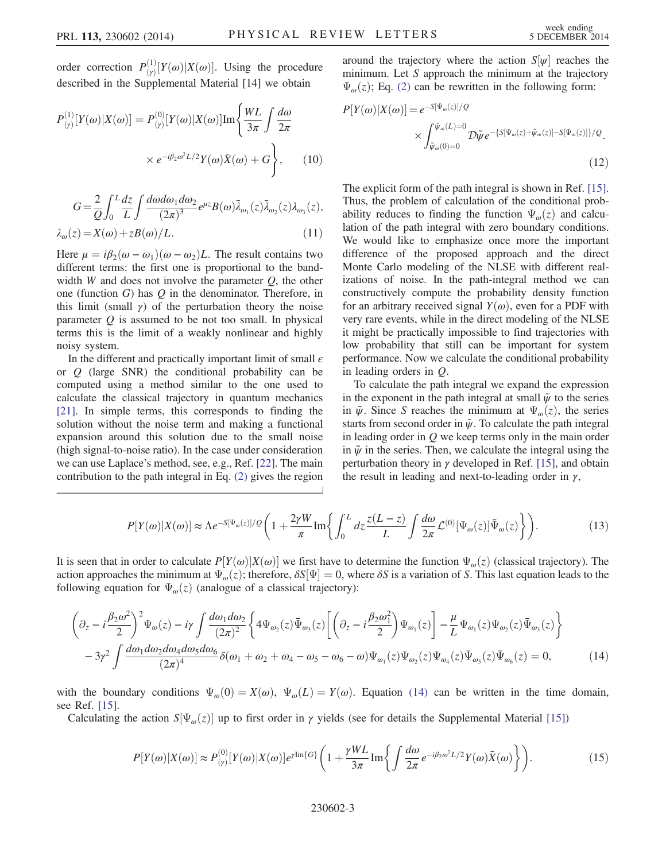<span id="page-2-2"></span>order correction  $P_{(y)}^{(1)}[Y(\omega)|X(\omega)]$ . Using the procedure described in the Supplemental Material [14] we obtain

$$
P_{(\gamma)}^{(1)}[Y(\omega)|X(\omega)] = P_{(\gamma)}^{(0)}[Y(\omega)|X(\omega)]\text{Im}\left\{\frac{WL}{3\pi}\int\frac{d\omega}{2\pi}\right\}
$$

$$
\times e^{-i\beta_2\omega^2L/2}Y(\omega)\bar{X}(\omega) + G\left\},\qquad(10)
$$

$$
G = \frac{2}{Q} \int_0^L \frac{dz}{L} \int \frac{d\omega d\omega_1 d\omega_2}{(2\pi)^3} e^{\mu z} B(\omega) \bar{\lambda}_{\omega_1}(z) \bar{\lambda}_{\omega_2}(z) \lambda_{\omega_3}(z),
$$
  

$$
\lambda_{\omega}(z) = X(\omega) + zB(\omega)/L.
$$
 (11)

Here  $\mu = i\beta_2(\omega - \omega_1)(\omega - \omega_2)L$ . The result contains two different terms: the first one is proportional to the bandwidth  $W$  and does not involve the parameter  $Q$ , the other one (function  $G$ ) has  $Q$  in the denominator. Therefore, in this limit (small  $\gamma$ ) of the perturbation theory the noise parameter  $Q$  is assumed to be not too small. In physical terms this is the limit of a weakly nonlinear and highly noisy system.

In the different and practically important limit of small  $\epsilon$ or Q (large SNR) the conditional probability can be computed using a method similar to the one used to calculate the classical trajectory in quantum mechanics [\[21\]](#page-4-9). In simple terms, this corresponds to finding the solution without the noise term and making a functional expansion around this solution due to the small noise (high signal-to-noise ratio). In the case under consideration we can use Laplace's method, see, e.g., Ref. [\[22\].](#page-4-10) The main contribution to the path integral in Eq. [\(2\)](#page-0-1) gives the region

around the trajectory where the action  $S[\psi]$  reaches the minimum I et S approach the minimum at the trajectory minimum. Let S approach the minimum at the trajectory  $\Psi_{\omega}(z)$ ; Eq. [\(2\)](#page-0-1) can be rewritten in the following form:

$$
P[Y(\omega)|X(\omega)] = e^{-S[\Psi_{\omega}(z)]/Q}
$$
  
\$\times \int\_{\tilde{\Psi}\_{\omega}(0)=0}^{\tilde{\Psi}\_{\omega}(L)=0} \mathcal{D}\tilde{\psi}e^{-\{S[\Psi\_{\omega}(z)+\tilde{\psi}\_{\omega}(z)]-S[\Psi\_{\omega}(z)]\}/Q}\$. (12)\$

The explicit form of the path integral is shown in Ref. [\[15\]](#page-4-7). Thus, the problem of calculation of the conditional probability reduces to finding the function  $\Psi_{\omega}(z)$  and calculation of the path integral with zero boundary conditions. We would like to emphasize once more the important difference of the proposed approach and the direct Monte Carlo modeling of the NLSE with different realizations of noise. In the path-integral method we can constructively compute the probability density function for an arbitrary received signal  $Y(\omega)$ , even for a PDF with very rare events, while in the direct modeling of the NLSE it might be practically impossible to find trajectories with low probability that still can be important for system performance. Now we calculate the conditional probability in leading orders in Q.

To calculate the path integral we expand the expression in the exponent in the path integral at small  $\tilde{\psi}$  to the series in  $\tilde{\psi}$ . Since S reaches the minimum at  $\Psi_{\omega}(z)$ , the series starts from second order in  $\tilde{\psi}$ . To calculate the path integral in leading order in  $Q$  we keep terms only in the main order in  $\tilde{\psi}$  in the series. Then, we calculate the integral using the perturbation theory in  $\gamma$  developed in Ref. [\[15\],](#page-4-7) and obtain the result in leading and next-to-leading order in  $\gamma$ ,

$$
P[Y(\omega)|X(\omega)] \approx \Lambda e^{-S[\Psi_{\omega}(z)]/Q} \left(1 + \frac{2\gamma W}{\pi} \mathrm{Im} \left\{ \int_0^L dz \frac{z(L-z)}{L} \int \frac{d\omega}{2\pi} \mathcal{L}^{(0)}[\Psi_{\omega}(z)] \bar{\Psi}_{\omega}(z) \right\} \right). \tag{13}
$$

<span id="page-2-0"></span>It is seen that in order to calculate  $P[Y(\omega)|X(\omega)]$  we first have to determine the function  $\Psi_{\omega}(z)$  (classical trajectory). The action approaches the minimum at  $\Psi(z)$ ; therefore  $\delta S[\Psi] = 0$  where  $\delta S$  is a variation of action approaches the minimum at  $\Psi_{\omega}(z)$ ; therefore,  $\delta S[\Psi] = 0$ , where  $\delta S$  is a variation of S. This last equation leads to the following equation for  $\Psi(z)$  (analogue of a classical trajectory): following equation for  $\Psi_{\omega}(z)$  (analogue of a classical trajectory):

$$
\left(\partial_z - i\frac{\beta_2\omega^2}{2}\right)^2\Psi_{\omega}(z) - i\gamma \int \frac{d\omega_1 d\omega_2}{(2\pi)^2} \left\{4\Psi_{\omega_2}(z)\bar{\Psi}_{\omega_3}(z)\left[\left(\partial_z - i\frac{\beta_2\omega_1^2}{2}\right)\Psi_{\omega_1}(z)\right] - \frac{\mu}{L}\Psi_{\omega_1}(z)\Psi_{\omega_2}(z)\bar{\Psi}_{\omega_3}(z)\right\}
$$

$$
-3\gamma^2 \int \frac{d\omega_1 d\omega_2 d\omega_4 d\omega_5 d\omega_6}{(2\pi)^4} \delta(\omega_1 + \omega_2 + \omega_4 - \omega_5 - \omega_6 - \omega)\Psi_{\omega_1}(z)\Psi_{\omega_2}(z)\Psi_{\omega_4}(z)\bar{\Psi}_{\omega_5}(z)\bar{\Psi}_{\omega_6}(z) = 0, \tag{14}
$$

with the boundary conditions  $\Psi_{\omega}(0) = X(\omega)$ ,  $\Psi_{\omega}(L) = Y(\omega)$ . Equation [\(14\)](#page-2-0) can be written in the time domain, see Ref. [\[15\]](#page-4-7).

<span id="page-2-1"></span>Calculating the action  $S[\Psi_{\omega}(z)]$  up to first order in  $\gamma$  yields (see for details the Supplemental Material [\[15\]\)](#page-4-7)

$$
P[Y(\omega)|X(\omega)] \approx P_{(\gamma)}^{(0)}[Y(\omega)|X(\omega)]e^{\gamma \text{Im}\{G\}}\left(1 + \frac{\gamma WL}{3\pi} \text{Im}\left\{\int \frac{d\omega}{2\pi} e^{-i\beta_2 \omega^2 L/2} Y(\omega)\bar{X}(\omega)\right\}\right).
$$
 (15)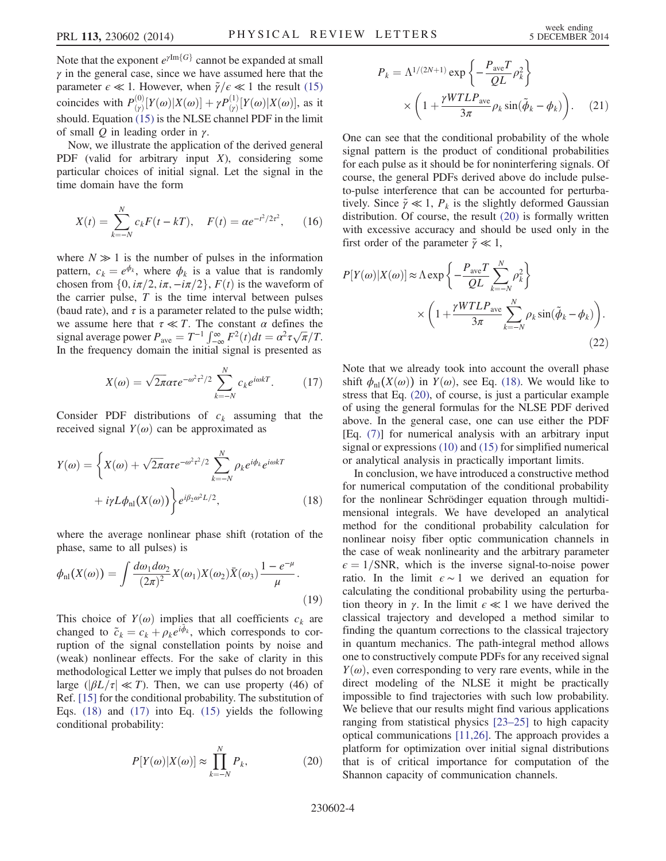Note that the exponent  $e^{\gamma \text{Im}{G}}$  cannot be expanded at small  $\gamma$  in the general case, since we have assumed here that the parameter  $\epsilon \ll 1$ . However, when  $\tilde{\gamma}/\epsilon \ll 1$  the result [\(15\)](#page-2-1) coincides with  $P_{(y)}^{(0)}[Y(\omega)|X(\omega)] + \gamma P_{(y)}^{(1)}[Y(\omega)|X(\omega)]$ , as it should. Equation [\(15\)](#page-2-1) is the NLSE channel PDF in the limit of small  $Q$  in leading order in  $\gamma$ .

Now, we illustrate the application of the derived general PDF (valid for arbitrary input  $X$ ), considering some particular choices of initial signal. Let the signal in the time domain have the form

$$
X(t) = \sum_{k=-N}^{N} c_k F(t - kT), \quad F(t) = \alpha e^{-t^2/2\tau^2}, \quad (16)
$$

where  $N \gg 1$  is the number of pulses in the information pattern,  $c_k = e^{\phi_k}$ , where  $\phi_k$  is a value that is randomly chosen from  $\{0, i\pi/2, i\pi, -i\pi/2\}$ ,  $F(t)$  is the waveform of the carrier pulse,  $T$  is the time interval between pulses (baud rate), and  $\tau$  is a parameter related to the pulse width; we assume here that  $\tau \ll T$ . The constant  $\alpha$  defines the signal average power  $P_{\text{ave}} = T^{-1} \int_{-\infty}^{\infty} F^2(t) dt = \alpha^2 \tau \sqrt{\pi}/T$ .<br>In the frequency domain the initial signal is presented as In the frequency domain the initial signal is presented as

<span id="page-3-1"></span>
$$
X(\omega) = \sqrt{2\pi}\alpha\tau e^{-\omega^2\tau^2/2} \sum_{k=-N}^{N} c_k e^{i\omega kT}.
$$
 (17)

<span id="page-3-0"></span>Consider PDF distributions of  $c_k$  assuming that the received signal  $Y(\omega)$  can be approximated as

$$
Y(\omega) = \left\{ X(\omega) + \sqrt{2\pi} \alpha \tau e^{-\omega^2 \tau^2/2} \sum_{k=-N}^{N} \rho_k e^{i\phi_k} e^{i\omega kT} + i\gamma L \phi_{\rm nl}(X(\omega)) \right\} e^{i\beta_2 \omega^2 L/2}, \tag{18}
$$

where the average nonlinear phase shift (rotation of the phase, same to all pulses) is

$$
\phi_{\rm nl}(X(\omega)) = \int \frac{d\omega_1 d\omega_2}{(2\pi)^2} X(\omega_1) X(\omega_2) \bar{X}(\omega_3) \frac{1 - e^{-\mu}}{\mu}.
$$
\n(19)

This choice of  $Y(\omega)$  implies that all coefficients  $c_k$  are changed to  $\tilde{c}_k = c_k + \rho_k e^{i\phi_k}$ , which corresponds to corruption of the signal constellation points by noise and (weak) nonlinear effects. For the sake of clarity in this methodological Letter we imply that pulses do not broaden large ( $|\beta L/\tau| \ll T$ ). Then, we can use property (46) of Ref. [\[15\]](#page-4-7) for the conditional probability. The substitution of Eqs. [\(18\)](#page-3-0) and [\(17\)](#page-3-1) into Eq. [\(15\)](#page-2-1) yields the following conditional probability:

<span id="page-3-2"></span>
$$
P[Y(\omega)|X(\omega)] \approx \prod_{k=-N}^{N} P_k,
$$
\n(20)

$$
P_k = \Lambda^{1/(2N+1)} \exp\left\{-\frac{P_{\text{ave}}T}{QL} \rho_k^2\right\}
$$

$$
\times \left(1 + \frac{\gamma WTLP_{\text{ave}}}{3\pi} \rho_k \sin(\tilde{\phi}_k - \phi_k)\right). \tag{21}
$$

One can see that the conditional probability of the whole signal pattern is the product of conditional probabilities for each pulse as it should be for noninterfering signals. Of course, the general PDFs derived above do include pulseto-pulse interference that can be accounted for perturbatively. Since  $\tilde{\gamma} \ll 1$ ,  $P_k$  is the slightly deformed Gaussian distribution. Of course, the result [\(20\)](#page-3-2) is formally written with excessive accuracy and should be used only in the first order of the parameter  $\tilde{\gamma} \ll 1$ ,

$$
P[Y(\omega)|X(\omega)] \approx \Lambda \exp\left\{-\frac{P_{\text{ave}}T}{QL} \sum_{k=-N}^{N} \rho_k^2\right\}
$$

$$
\times \left(1 + \frac{\gamma W T L P_{\text{ave}}}{3\pi} \sum_{k=-N}^{N} \rho_k \sin(\tilde{\phi}_k - \phi_k)\right). \tag{22}
$$

Note that we already took into account the overall phase shift  $\phi_{nl}(X(\omega))$  in  $Y(\omega)$ , see Eq. [\(18\)](#page-3-0). We would like to stress that Eq. [\(20\),](#page-3-2) of course, is just a particular example of using the general formulas for the NLSE PDF derived above. In the general case, one can use either the PDF [Eq. [\(7\)\]](#page-1-0) for numerical analysis with an arbitrary input signal or expressions [\(10\)](#page-2-2) and [\(15\)](#page-2-1) for simplified numerical or analytical analysis in practically important limits.

In conclusion, we have introduced a constructive method for numerical computation of the conditional probability for the nonlinear Schrödinger equation through multidimensional integrals. We have developed an analytical method for the conditional probability calculation for nonlinear noisy fiber optic communication channels in the case of weak nonlinearity and the arbitrary parameter  $\epsilon = 1/\text{SNR}$ , which is the inverse signal-to-noise power ratio. In the limit  $\epsilon \sim 1$  we derived an equation for calculating the conditional probability using the perturbation theory in  $\gamma$ . In the limit  $\epsilon \ll 1$  we have derived the classical trajectory and developed a method similar to finding the quantum corrections to the classical trajectory in quantum mechanics. The path-integral method allows one to constructively compute PDFs for any received signal  $Y(\omega)$ , even corresponding to very rare events, while in the direct modeling of the NLSE it might be practically impossible to find trajectories with such low probability. We believe that our results might find various applications ranging from statistical physics [\[23](#page-4-11)–25] to high capacity optical communications [\[11,26\]](#page-4-12). The approach provides a platform for optimization over initial signal distributions that is of critical importance for computation of the Shannon capacity of communication channels.